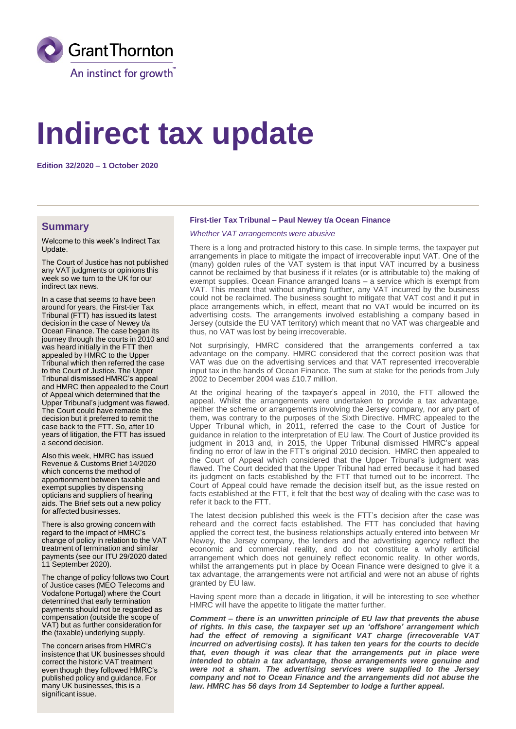

# **Indirect tax update**

**Edition 32/2020 – 1 October 2020**

### **Summary**

Welcome to this week's Indirect Tax Update.

The Court of Justice has not published any VAT judgments or opinions this week so we turn to the UK for our indirect tax news.

In a case that seems to have been around for years, the First-tier Tax Tribunal (FTT) has issued its latest decision in the case of Newey t/a Ocean Finance. The case began its journey through the courts in 2010 and was heard initially in the FTT then appealed by HMRC to the Upper Tribunal which then referred the case to the Court of Justice. The Upper Tribunal dismissed HMRC's appeal and HMRC then appealed to the Court of Appeal which determined that the Upper Tribunal's judgment was flawed. The Court could have remade the decision but it preferred to remit the case back to the FTT. So, after 10 years of litigation, the FTT has issued a second decision.

Also this week, HMRC has issued Revenue & Customs Brief 14/2020 which concerns the method of apportionment between taxable and exempt supplies by dispensing opticians and suppliers of hearing aids. The Brief sets out a new policy for affected businesses.

There is also growing concern with regard to the impact of HMRC's change of policy in relation to the VAT treatment of termination and similar payments (see our ITU 29/2020 dated 11 September 2020).

The change of policy follows two Court of Justice cases (MEO Telecoms and Vodafone Portugal) where the Court determined that early termination payments should not be regarded as compensation (outside the scope of VAT) but as further consideration for the (taxable) underlying supply.

The concern arises from HMRC's insistence that UK businesses should correct the historic VAT treatment even though they followed HMRC's published policy and guidance. For many UK businesses, this is a significant issue.

#### **First-tier Tax Tribunal – Paul Newey t/a Ocean Finance**

#### *Whether VAT arrangements were abusive*

There is a long and protracted history to this case. In simple terms, the taxpayer put arrangements in place to mitigate the impact of irrecoverable input VAT. One of the (many) golden rules of the VAT system is that input VAT incurred by a business cannot be reclaimed by that business if it relates (or is attributable to) the making of exempt supplies. Ocean Finance arranged loans – a service which is exempt from VAT. This meant that without anything further, any VAT incurred by the business could not be reclaimed. The business sought to mitigate that VAT cost and it put in place arrangements which, in effect, meant that no VAT would be incurred on its advertising costs. The arrangements involved establishing a company based in Jersey (outside the EU VAT territory) which meant that no VAT was chargeable and thus, no VAT was lost by being irrecoverable.

Not surprisingly, HMRC considered that the arrangements conferred a tax advantage on the company. HMRC considered that the correct position was that VAT was due on the advertising services and that VAT represented irrecoverable input tax in the hands of Ocean Finance. The sum at stake for the periods from July 2002 to December 2004 was £10.7 million.

At the original hearing of the taxpayer's appeal in 2010, the FTT allowed the appeal. Whilst the arrangements were undertaken to provide a tax advantage, neither the scheme or arrangements involving the Jersey company, nor any part of them, was contrary to the purposes of the Sixth Directive. HMRC appealed to the Upper Tribunal which, in 2011, referred the case to the Court of Justice for guidance in relation to the interpretation of EU law. The Court of Justice provided its judgment in 2013 and, in 2015, the Upper Tribunal dismissed HMRC's appeal finding no error of law in the FTT's original 2010 decision. HMRC then appealed to the Court of Appeal which considered that the Upper Tribunal's judgment was flawed. The Court decided that the Upper Tribunal had erred because it had based its judgment on facts established by the FTT that turned out to be incorrect. The Court of Appeal could have remade the decision itself but, as the issue rested on facts established at the FTT, it felt that the best way of dealing with the case was to refer it back to the FTT.

The latest decision published this week is the FTT's decision after the case was reheard and the correct facts established. The FTT has concluded that having applied the correct test, the business relationships actually entered into between Mr Newey, the Jersey company, the lenders and the advertising agency reflect the economic and commercial reality, and do not constitute a wholly artificial arrangement which does not genuinely reflect economic reality. In other words, whilst the arrangements put in place by Ocean Finance were designed to give it a tax advantage, the arrangements were not artificial and were not an abuse of rights granted by EU law.

Having spent more than a decade in litigation, it will be interesting to see whether HMRC will have the appetite to litigate the matter further.

*Comment – there is an unwritten principle of EU law that prevents the abuse of rights. In this case, the taxpayer set up an 'offshore' arrangement which had the effect of removing a significant VAT charge (irrecoverable VAT incurred on advertising costs). It has taken ten years for the courts to decide that, even though it was clear that the arrangements put in place were intended to obtain a tax advantage, those arrangements were genuine and were not a sham. The advertising services were supplied to the Jersey company and not to Ocean Finance and the arrangements did not abuse the law. HMRC has 56 days from 14 September to lodge a further appeal.*